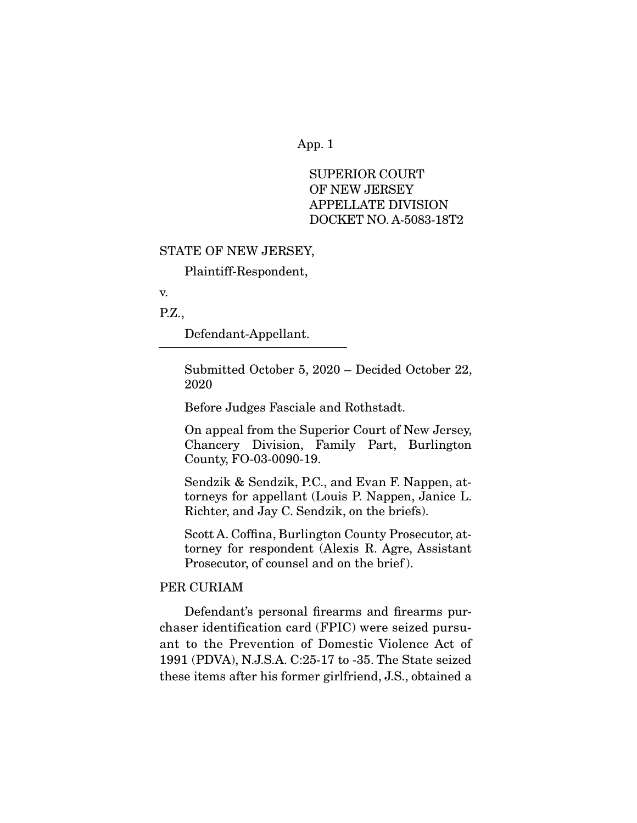SUPERIOR COURT OF NEW JERSEY APPELLATE DIVISION DOCKET NO. A-5083-18T2

#### STATE OF NEW JERSEY,

Plaintiff-Respondent,

v.

P.Z.,

Defendant-Appellant.

Submitted October 5, 2020 – Decided October 22, 2020

Before Judges Fasciale and Rothstadt.

On appeal from the Superior Court of New Jersey, Chancery Division, Family Part, Burlington County, FO-03-0090-19.

Sendzik & Sendzik, P.C., and Evan F. Nappen, attorneys for appellant (Louis P. Nappen, Janice L. Richter, and Jay C. Sendzik, on the briefs).

Scott A. Coffina, Burlington County Prosecutor, attorney for respondent (Alexis R. Agre, Assistant Prosecutor, of counsel and on the brief ).

#### PER CURIAM

 Defendant's personal firearms and firearms purchaser identification card (FPIC) were seized pursuant to the Prevention of Domestic Violence Act of 1991 (PDVA), N.J.S.A. C:25-17 to -35. The State seized these items after his former girlfriend, J.S., obtained a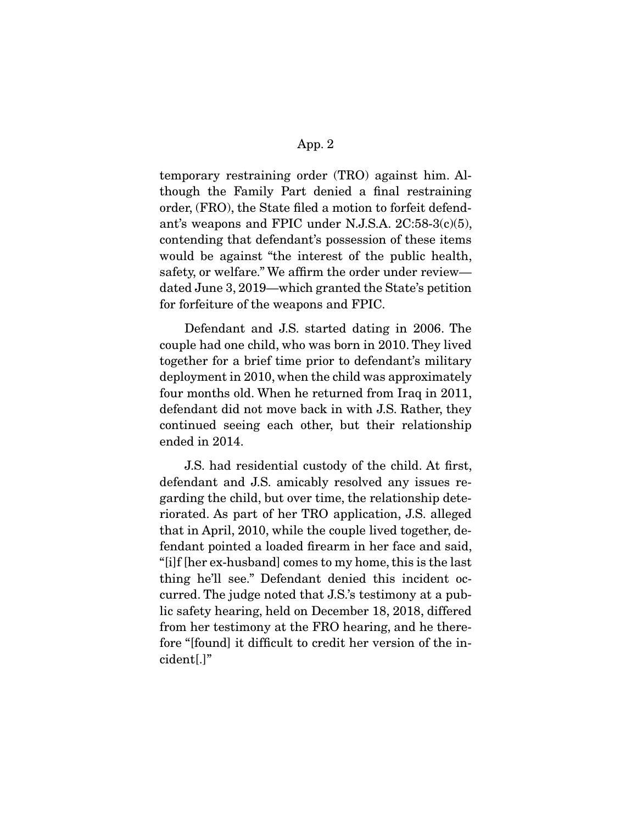temporary restraining order (TRO) against him. Although the Family Part denied a final restraining order, (FRO), the State filed a motion to forfeit defendant's weapons and FPIC under N.J.S.A. 2C:58-3(c)(5), contending that defendant's possession of these items would be against "the interest of the public health, safety, or welfare." We affirm the order under review dated June 3, 2019—which granted the State's petition for forfeiture of the weapons and FPIC.

 Defendant and J.S. started dating in 2006. The couple had one child, who was born in 2010. They lived together for a brief time prior to defendant's military deployment in 2010, when the child was approximately four months old. When he returned from Iraq in 2011, defendant did not move back in with J.S. Rather, they continued seeing each other, but their relationship ended in 2014.

 J.S. had residential custody of the child. At first, defendant and J.S. amicably resolved any issues regarding the child, but over time, the relationship deteriorated. As part of her TRO application, J.S. alleged that in April, 2010, while the couple lived together, defendant pointed a loaded firearm in her face and said, "[i]f [her ex-husband] comes to my home, this is the last thing he'll see." Defendant denied this incident occurred. The judge noted that J.S.'s testimony at a public safety hearing, held on December 18, 2018, differed from her testimony at the FRO hearing, and he therefore "[found] it difficult to credit her version of the incident[.]"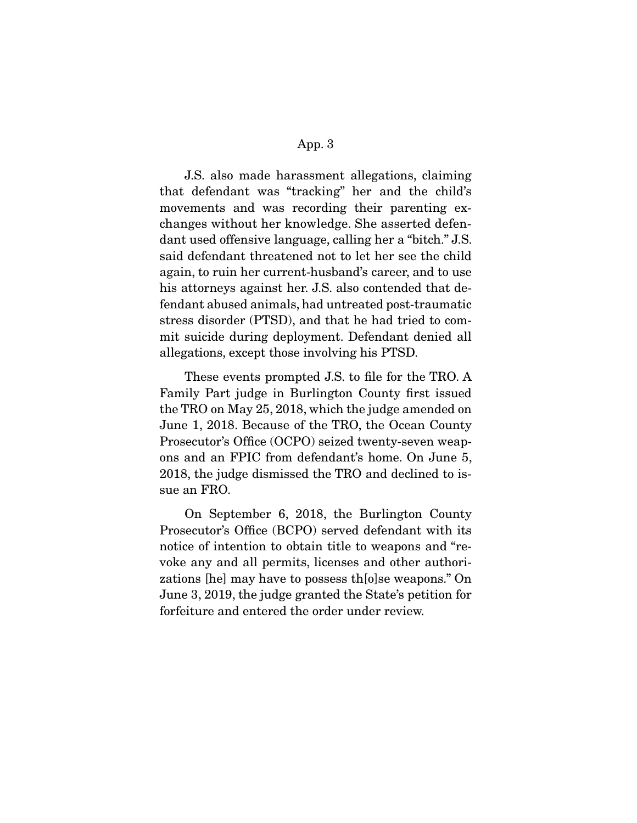J.S. also made harassment allegations, claiming that defendant was "tracking" her and the child's movements and was recording their parenting exchanges without her knowledge. She asserted defendant used offensive language, calling her a "bitch." J.S. said defendant threatened not to let her see the child again, to ruin her current-husband's career, and to use his attorneys against her. J.S. also contended that defendant abused animals, had untreated post-traumatic stress disorder (PTSD), and that he had tried to commit suicide during deployment. Defendant denied all allegations, except those involving his PTSD.

 These events prompted J.S. to file for the TRO. A Family Part judge in Burlington County first issued the TRO on May 25, 2018, which the judge amended on June 1, 2018. Because of the TRO, the Ocean County Prosecutor's Office (OCPO) seized twenty-seven weapons and an FPIC from defendant's home. On June 5, 2018, the judge dismissed the TRO and declined to issue an FRO.

 On September 6, 2018, the Burlington County Prosecutor's Office (BCPO) served defendant with its notice of intention to obtain title to weapons and "revoke any and all permits, licenses and other authorizations [he] may have to possess th[o]se weapons." On June 3, 2019, the judge granted the State's petition for forfeiture and entered the order under review.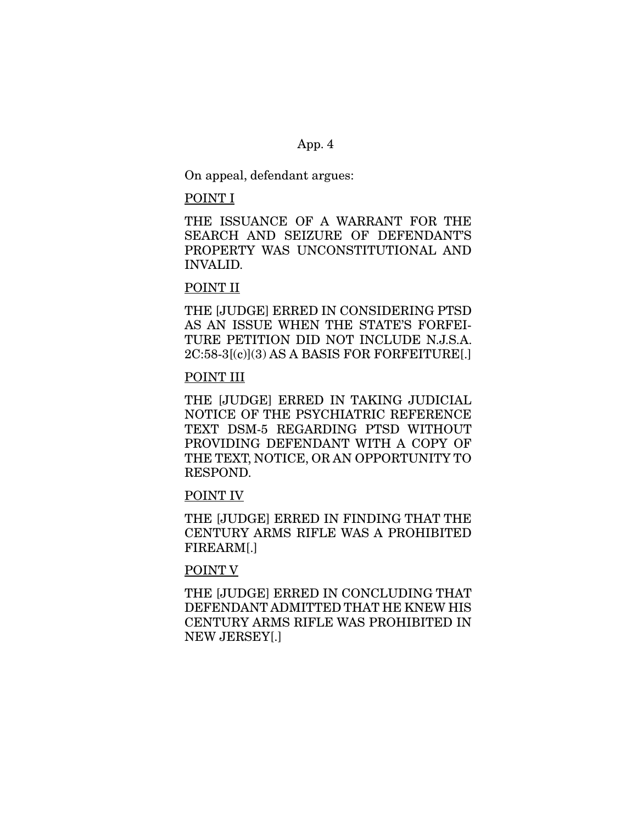On appeal, defendant argues:

#### POINT I

THE ISSUANCE OF A WARRANT FOR THE SEARCH AND SEIZURE OF DEFENDANT'S PROPERTY WAS UNCONSTITUTIONAL AND INVALID.

# POINT II

THE [JUDGE] ERRED IN CONSIDERING PTSD AS AN ISSUE WHEN THE STATE'S FORFEI-TURE PETITION DID NOT INCLUDE N.J.S.A. 2C:58-3[(c)](3) AS A BASIS FOR FORFEITURE[.]

## POINT III

THE [JUDGE] ERRED IN TAKING JUDICIAL NOTICE OF THE PSYCHIATRIC REFERENCE TEXT DSM-5 REGARDING PTSD WITHOUT PROVIDING DEFENDANT WITH A COPY OF THE TEXT, NOTICE, OR AN OPPORTUNITY TO RESPOND.

#### POINT IV

THE [JUDGE] ERRED IN FINDING THAT THE CENTURY ARMS RIFLE WAS A PROHIBITED FIREARM[.]

## POINT V

THE [JUDGE] ERRED IN CONCLUDING THAT DEFENDANT ADMITTED THAT HE KNEW HIS CENTURY ARMS RIFLE WAS PROHIBITED IN NEW JERSEY[.]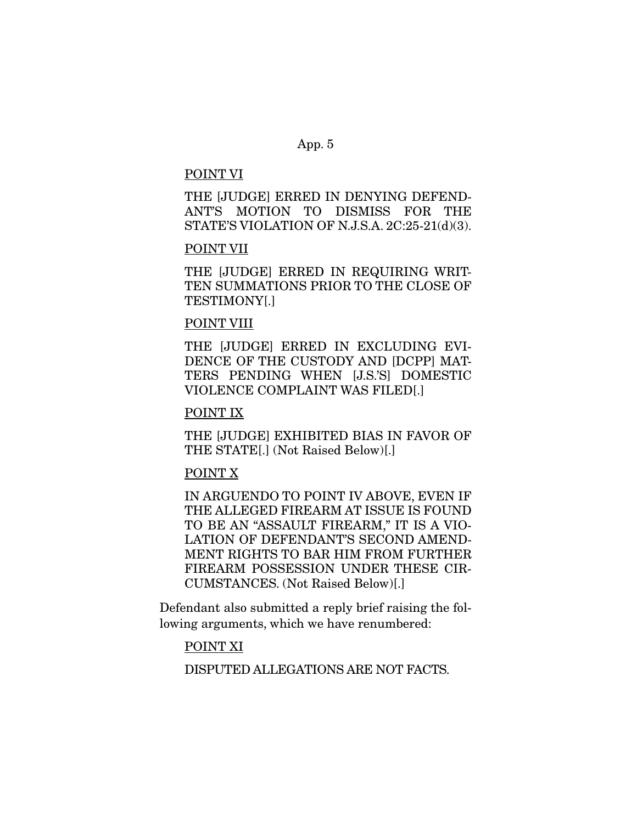#### POINT VI

THE [JUDGE] ERRED IN DENYING DEFEND-ANT'S MOTION TO DISMISS FOR THE STATE'S VIOLATION OF N.J.S.A. 2C:25-21(d)(3).

## POINT VII

THE [JUDGE] ERRED IN REQUIRING WRIT-TEN SUMMATIONS PRIOR TO THE CLOSE OF TESTIMONY[.]

## POINT VIII

THE [JUDGE] ERRED IN EXCLUDING EVI-DENCE OF THE CUSTODY AND [DCPP] MAT-TERS PENDING WHEN [J.S.'S] DOMESTIC VIOLENCE COMPLAINT WAS FILED[.]

### POINT IX

THE [JUDGE] EXHIBITED BIAS IN FAVOR OF THE STATE[.] (Not Raised Below)[.]

## POINT X

IN ARGUENDO TO POINT IV ABOVE, EVEN IF THE ALLEGED FIREARM AT ISSUE IS FOUND TO BE AN "ASSAULT FIREARM," IT IS A VIO-LATION OF DEFENDANT'S SECOND AMEND-MENT RIGHTS TO BAR HIM FROM FURTHER FIREARM POSSESSION UNDER THESE CIR-CUMSTANCES. (Not Raised Below)[.]

Defendant also submitted a reply brief raising the following arguments, which we have renumbered:

## POINT XI

DISPUTED ALLEGATIONS ARE NOT FACTS.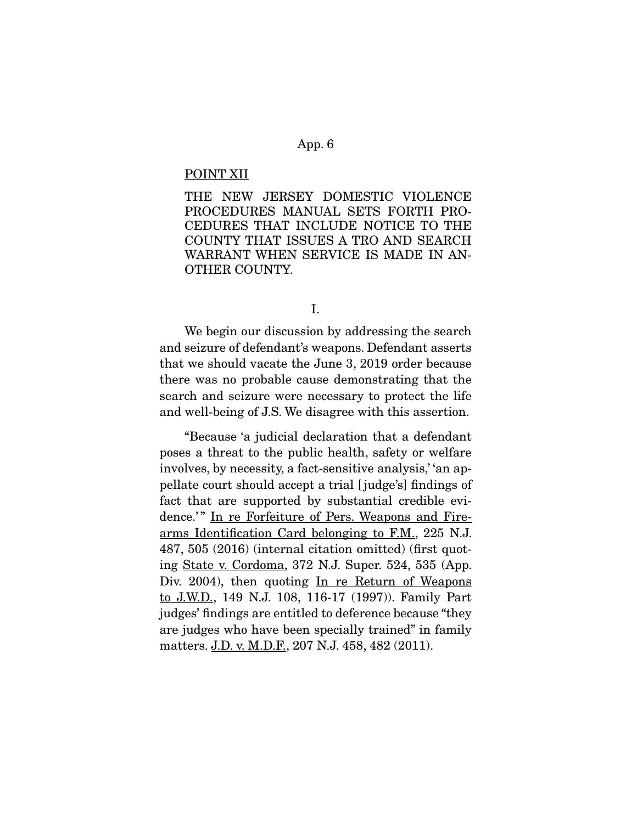#### POINT XII

THE NEW JERSEY DOMESTIC VIOLENCE PROCEDURES MANUAL SETS FORTH PRO-CEDURES THAT INCLUDE NOTICE TO THE COUNTY THAT ISSUES A TRO AND SEARCH WARRANT WHEN SERVICE IS MADE IN AN-OTHER COUNTY.

I.

 We begin our discussion by addressing the search and seizure of defendant's weapons. Defendant asserts that we should vacate the June 3, 2019 order because there was no probable cause demonstrating that the search and seizure were necessary to protect the life and well-being of J.S. We disagree with this assertion.

 "Because 'a judicial declaration that a defendant poses a threat to the public health, safety or welfare involves, by necessity, a fact-sensitive analysis,' 'an appellate court should accept a trial [ judge's] findings of fact that are supported by substantial credible evidence.'" In re Forfeiture of Pers. Weapons and Firearms Identification Card belonging to F.M., 225 N.J. 487, 505 (2016) (internal citation omitted) (first quoting State v. Cordoma, 372 N.J. Super. 524, 535 (App. Div. 2004), then quoting In re Return of Weapons to J.W.D., 149 N.J. 108, 116-17 (1997)). Family Part judges' findings are entitled to deference because "they are judges who have been specially trained" in family matters. J.D. v. M.D.F., 207 N.J. 458, 482 (2011).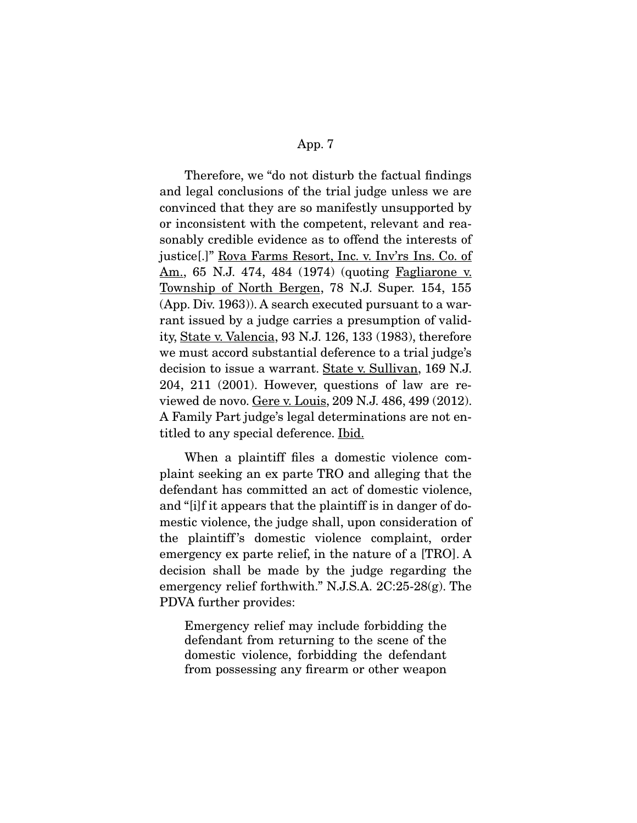Therefore, we "do not disturb the factual findings and legal conclusions of the trial judge unless we are convinced that they are so manifestly unsupported by or inconsistent with the competent, relevant and reasonably credible evidence as to offend the interests of justice[.]" Rova Farms Resort, Inc. v. Inv'rs Ins. Co. of Am., 65 N.J. 474, 484 (1974) (quoting Fagliarone v. Township of North Bergen, 78 N.J. Super. 154, 155 (App. Div. 1963)). A search executed pursuant to a warrant issued by a judge carries a presumption of validity, State v. Valencia, 93 N.J. 126, 133 (1983), therefore we must accord substantial deference to a trial judge's decision to issue a warrant. State v. Sullivan, 169 N.J. 204, 211 (2001). However, questions of law are reviewed de novo. Gere v. Louis, 209 N.J. 486, 499 (2012). A Family Part judge's legal determinations are not entitled to any special deference. Ibid.

 When a plaintiff files a domestic violence complaint seeking an ex parte TRO and alleging that the defendant has committed an act of domestic violence, and "[i]f it appears that the plaintiff is in danger of domestic violence, the judge shall, upon consideration of the plaintiff 's domestic violence complaint, order emergency ex parte relief, in the nature of a [TRO]. A decision shall be made by the judge regarding the emergency relief forthwith." N.J.S.A. 2C:25-28(g). The PDVA further provides:

Emergency relief may include forbidding the defendant from returning to the scene of the domestic violence, forbidding the defendant from possessing any firearm or other weapon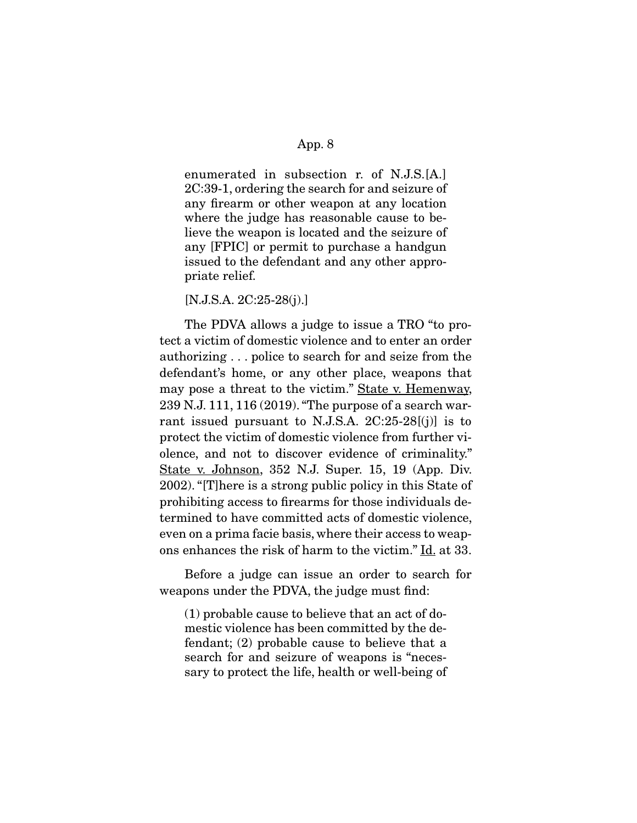enumerated in subsection r. of N.J.S.[A.] 2C:39-1, ordering the search for and seizure of any firearm or other weapon at any location where the judge has reasonable cause to believe the weapon is located and the seizure of any [FPIC] or permit to purchase a handgun issued to the defendant and any other appropriate relief.

[N.J.S.A. 2C:25-28(j).]

 The PDVA allows a judge to issue a TRO "to protect a victim of domestic violence and to enter an order authorizing . . . police to search for and seize from the defendant's home, or any other place, weapons that may pose a threat to the victim." State v. Hemenway, 239 N.J. 111, 116 (2019). "The purpose of a search warrant issued pursuant to N.J.S.A.  $2C:25-28[(j)]$  is to protect the victim of domestic violence from further violence, and not to discover evidence of criminality." State v. Johnson, 352 N.J. Super. 15, 19 (App. Div. 2002). "[T]here is a strong public policy in this State of prohibiting access to firearms for those individuals determined to have committed acts of domestic violence, even on a prima facie basis, where their access to weapons enhances the risk of harm to the victim." Id. at 33.

 Before a judge can issue an order to search for weapons under the PDVA, the judge must find:

(1) probable cause to believe that an act of domestic violence has been committed by the defendant; (2) probable cause to believe that a search for and seizure of weapons is "necessary to protect the life, health or well-being of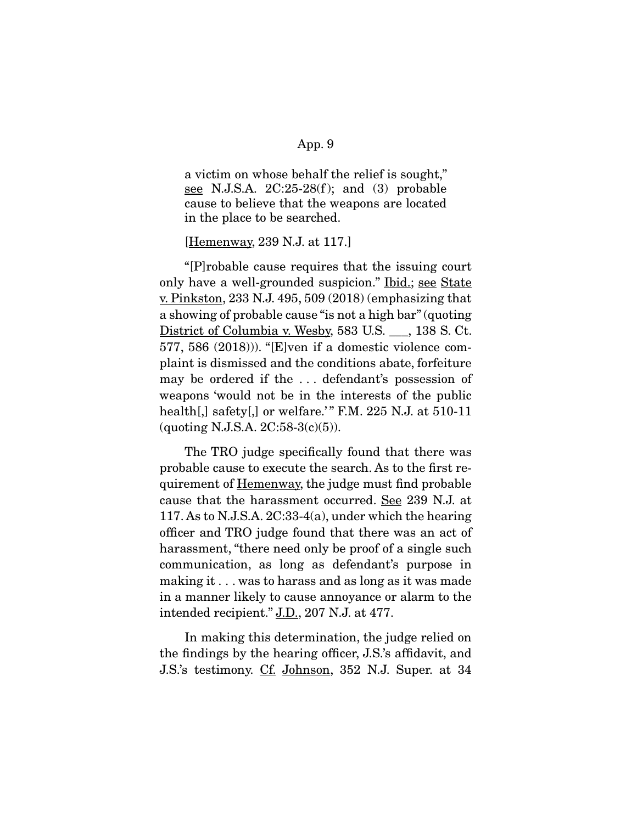a victim on whose behalf the relief is sought," see N.J.S.A.  $2C:25-28(f)$ ; and  $(3)$  probable cause to believe that the weapons are located in the place to be searched.

#### [Hemenway, 239 N.J. at 117.]

 "[P]robable cause requires that the issuing court only have a well-grounded suspicion." Ibid.; see State <u>v. Pinkston</u>, 233 N.J. 495, 509  $(2018)$  (emphasizing that a showing of probable cause "is not a high bar" (quoting District of Columbia v. Wesby, 583 U.S. \_\_, 138 S. Ct. 577, 586 (2018))). "[E]ven if a domestic violence complaint is dismissed and the conditions abate, forfeiture may be ordered if the . . . defendant's possession of weapons 'would not be in the interests of the public health[,] safety[,] or welfare.'" F.M. 225 N.J. at  $510-11$ (quoting N.J.S.A. 2C:58-3(c)(5)).

 The TRO judge specifically found that there was probable cause to execute the search. As to the first requirement of Hemenway, the judge must find probable cause that the harassment occurred. See 239 N.J. at 117. As to N.J.S.A. 2C:33-4(a), under which the hearing officer and TRO judge found that there was an act of harassment, "there need only be proof of a single such communication, as long as defendant's purpose in making it . . . was to harass and as long as it was made in a manner likely to cause annoyance or alarm to the intended recipient." J.D., 207 N.J. at 477.

 In making this determination, the judge relied on the findings by the hearing officer, J.S.'s affidavit, and J.S.'s testimony. Cf. Johnson, 352 N.J. Super. at 34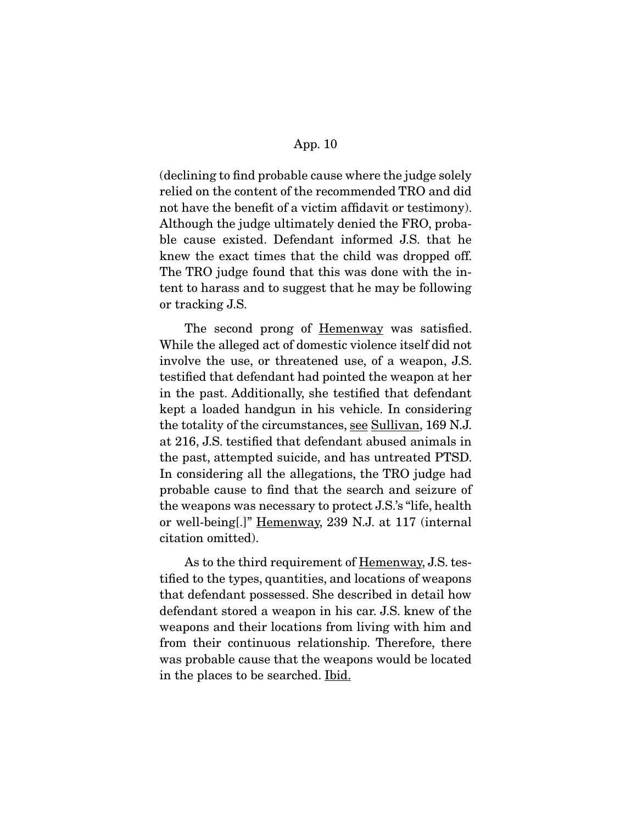(declining to find probable cause where the judge solely relied on the content of the recommended TRO and did not have the benefit of a victim affidavit or testimony). Although the judge ultimately denied the FRO, probable cause existed. Defendant informed J.S. that he knew the exact times that the child was dropped off. The TRO judge found that this was done with the intent to harass and to suggest that he may be following or tracking J.S.

The second prong of <u>Hemenway</u> was satisfied. While the alleged act of domestic violence itself did not involve the use, or threatened use, of a weapon, J.S. testified that defendant had pointed the weapon at her in the past. Additionally, she testified that defendant kept a loaded handgun in his vehicle. In considering the totality of the circumstances, see Sullivan, 169 N.J. at 216, J.S. testified that defendant abused animals in the past, attempted suicide, and has untreated PTSD. In considering all the allegations, the TRO judge had probable cause to find that the search and seizure of the weapons was necessary to protect J.S.'s "life, health or well-being[.]" Hemenway, 239 N.J. at 117 (internal citation omitted).

As to the third requirement of Hemenway, J.S. testified to the types, quantities, and locations of weapons that defendant possessed. She described in detail how defendant stored a weapon in his car. J.S. knew of the weapons and their locations from living with him and from their continuous relationship. Therefore, there was probable cause that the weapons would be located in the places to be searched. Ibid.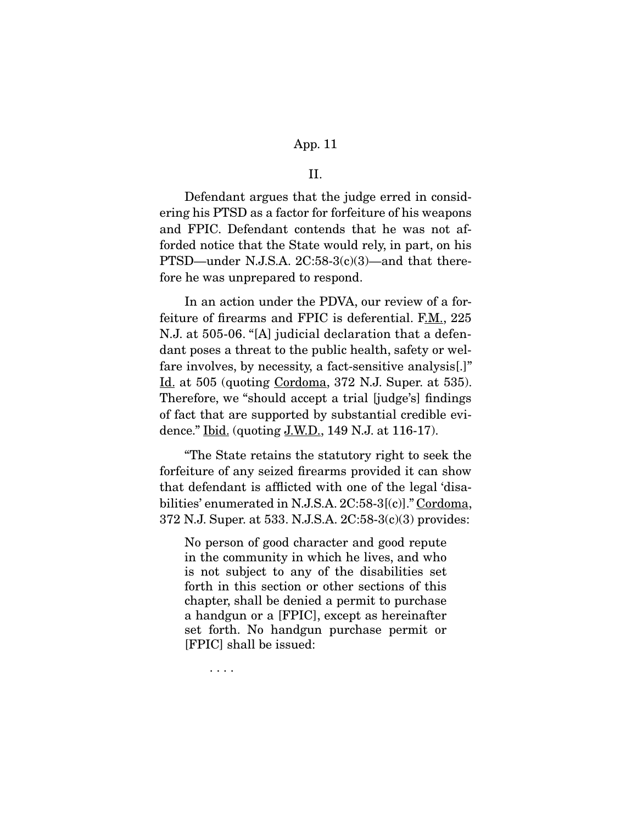II.

 Defendant argues that the judge erred in considering his PTSD as a factor for forfeiture of his weapons and FPIC. Defendant contends that he was not afforded notice that the State would rely, in part, on his PTSD—under N.J.S.A. 2C:58-3(c)(3)—and that therefore he was unprepared to respond.

 In an action under the PDVA, our review of a forfeiture of firearms and FPIC is deferential. F.M., 225 N.J. at 505-06. "[A] judicial declaration that a defendant poses a threat to the public health, safety or welfare involves, by necessity, a fact-sensitive analysis[.]" Id. at 505 (quoting Cordoma, 372 N.J. Super. at 535). Therefore, we "should accept a trial [judge's] findings of fact that are supported by substantial credible evidence."  $\underline{Ibid.}$  (quoting  $\underline{J.W.D.}$ , 149 N.J. at 116-17).

 "The State retains the statutory right to seek the forfeiture of any seized firearms provided it can show that defendant is afflicted with one of the legal 'disabilities' enumerated in N.J.S.A. 2C:58-3[(c)]." Cordoma, 372 N.J. Super. at 533. N.J.S.A. 2C:58-3(c)(3) provides:

No person of good character and good repute in the community in which he lives, and who is not subject to any of the disabilities set forth in this section or other sections of this chapter, shall be denied a permit to purchase a handgun or a [FPIC], except as hereinafter set forth. No handgun purchase permit or [FPIC] shall be issued:

. . . .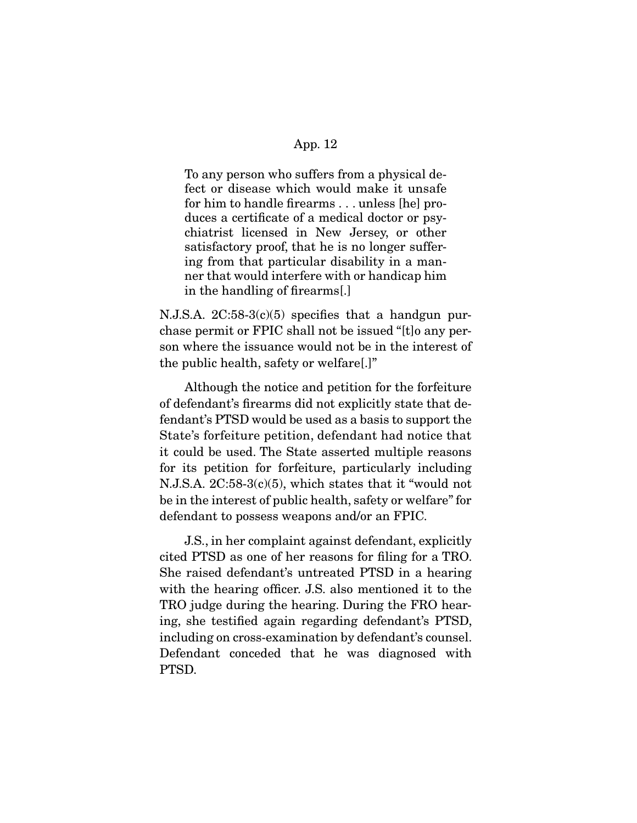To any person who suffers from a physical defect or disease which would make it unsafe for him to handle firearms . . . unless [he] produces a certificate of a medical doctor or psychiatrist licensed in New Jersey, or other satisfactory proof, that he is no longer suffering from that particular disability in a manner that would interfere with or handicap him in the handling of firearms[.]

N.J.S.A.  $2C:58-3(c)(5)$  specifies that a handgun purchase permit or FPIC shall not be issued "[t]o any person where the issuance would not be in the interest of the public health, safety or welfare[.]"

 Although the notice and petition for the forfeiture of defendant's firearms did not explicitly state that defendant's PTSD would be used as a basis to support the State's forfeiture petition, defendant had notice that it could be used. The State asserted multiple reasons for its petition for forfeiture, particularly including N.J.S.A. 2C:58-3(c)(5), which states that it "would not be in the interest of public health, safety or welfare" for defendant to possess weapons and/or an FPIC.

 J.S., in her complaint against defendant, explicitly cited PTSD as one of her reasons for filing for a TRO. She raised defendant's untreated PTSD in a hearing with the hearing officer. J.S. also mentioned it to the TRO judge during the hearing. During the FRO hearing, she testified again regarding defendant's PTSD, including on cross-examination by defendant's counsel. Defendant conceded that he was diagnosed with PTSD.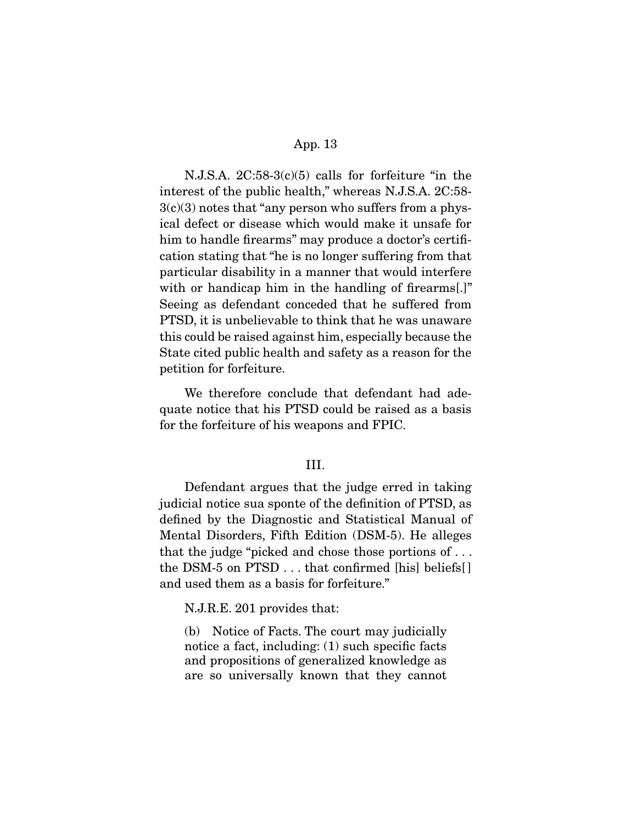N.J.S.A. 2C:58-3(c)(5) calls for forfeiture "in the interest of the public health," whereas N.J.S.A. 2C:58-  $3(c)(3)$  notes that "any person who suffers from a physical defect or disease which would make it unsafe for him to handle firearms" may produce a doctor's certification stating that "he is no longer suffering from that particular disability in a manner that would interfere with or handicap him in the handling of firearms[.]" Seeing as defendant conceded that he suffered from PTSD, it is unbelievable to think that he was unaware this could be raised against him, especially because the State cited public health and safety as a reason for the petition for forfeiture.

 We therefore conclude that defendant had adequate notice that his PTSD could be raised as a basis for the forfeiture of his weapons and FPIC.

### III.

 Defendant argues that the judge erred in taking judicial notice sua sponte of the definition of PTSD, as defined by the Diagnostic and Statistical Manual of Mental Disorders, Fifth Edition (DSM-5). He alleges that the judge "picked and chose those portions of . . . the DSM-5 on PTSD . . . that confirmed [his] beliefs[ ] and used them as a basis for forfeiture."

N.J.R.E. 201 provides that:

(b) Notice of Facts. The court may judicially notice a fact, including: (1) such specific facts and propositions of generalized knowledge as are so universally known that they cannot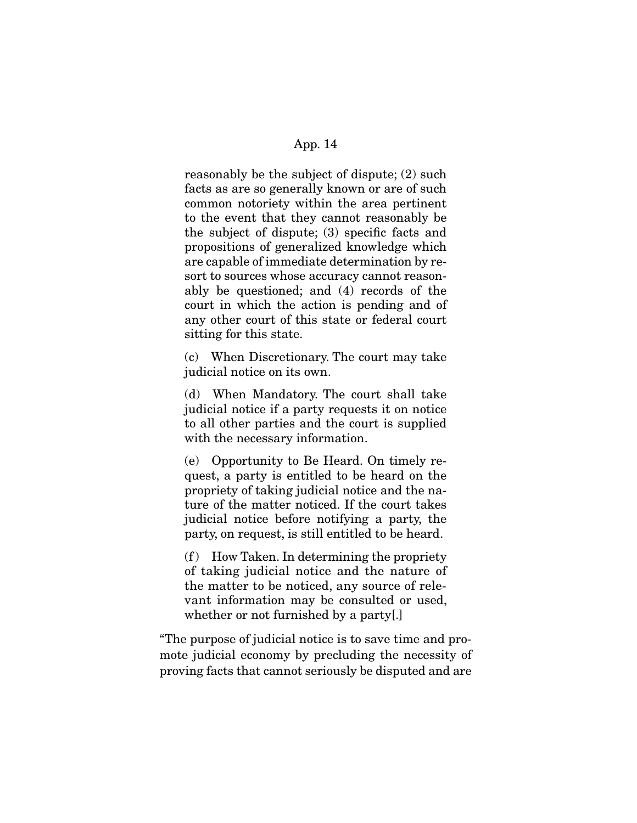reasonably be the subject of dispute; (2) such facts as are so generally known or are of such common notoriety within the area pertinent to the event that they cannot reasonably be the subject of dispute; (3) specific facts and propositions of generalized knowledge which are capable of immediate determination by resort to sources whose accuracy cannot reasonably be questioned; and (4) records of the court in which the action is pending and of any other court of this state or federal court sitting for this state.

(c) When Discretionary. The court may take judicial notice on its own.

(d) When Mandatory. The court shall take judicial notice if a party requests it on notice to all other parties and the court is supplied with the necessary information.

(e) Opportunity to Be Heard. On timely request, a party is entitled to be heard on the propriety of taking judicial notice and the nature of the matter noticed. If the court takes judicial notice before notifying a party, the party, on request, is still entitled to be heard.

 $(f)$  How Taken. In determining the propriety of taking judicial notice and the nature of the matter to be noticed, any source of relevant information may be consulted or used, whether or not furnished by a party[.]

"The purpose of judicial notice is to save time and promote judicial economy by precluding the necessity of proving facts that cannot seriously be disputed and are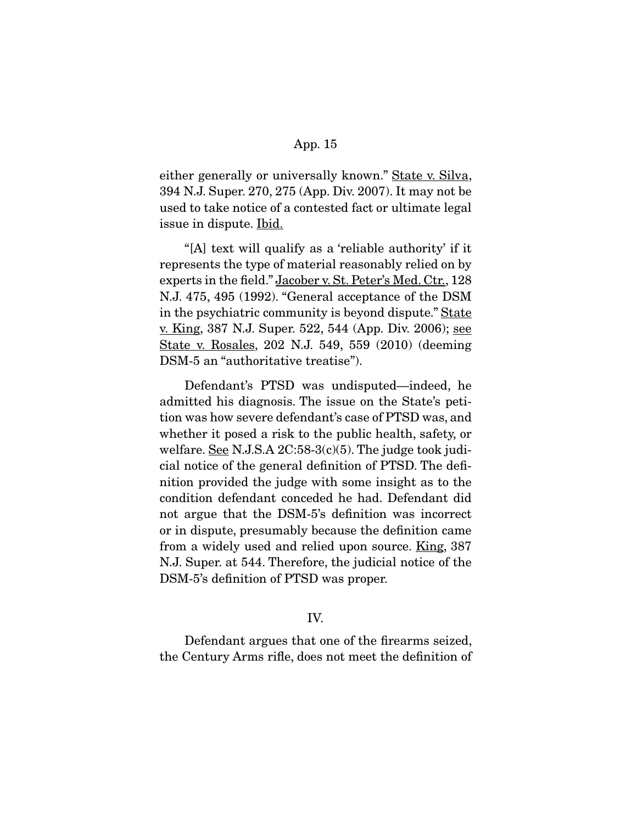either generally or universally known." State v. Silva, 394 N.J. Super. 270, 275 (App. Div. 2007). It may not be used to take notice of a contested fact or ultimate legal issue in dispute. Ibid.

 "[A] text will qualify as a 'reliable authority' if it represents the type of material reasonably relied on by experts in the field." Jacober v. St. Peter's Med. Ctr., 128 N.J. 475, 495 (1992). "General acceptance of the DSM in the psychiatric community is beyond dispute." State <u>v. King, 387 N.J. Super. 522, 544 (App. Div. 2006); see</u> State v. Rosales, 202 N.J. 549, 559 (2010) (deeming DSM-5 an "authoritative treatise").

 Defendant's PTSD was undisputed—indeed, he admitted his diagnosis. The issue on the State's petition was how severe defendant's case of PTSD was, and whether it posed a risk to the public health, safety, or welfare. See N.J.S.A  $2C:58-3(c)(5)$ . The judge took judicial notice of the general definition of PTSD. The definition provided the judge with some insight as to the condition defendant conceded he had. Defendant did not argue that the DSM-5's definition was incorrect or in dispute, presumably because the definition came from a widely used and relied upon source. King, 387 N.J. Super. at 544. Therefore, the judicial notice of the DSM-5's definition of PTSD was proper.

## IV.

 Defendant argues that one of the firearms seized, the Century Arms rifle, does not meet the definition of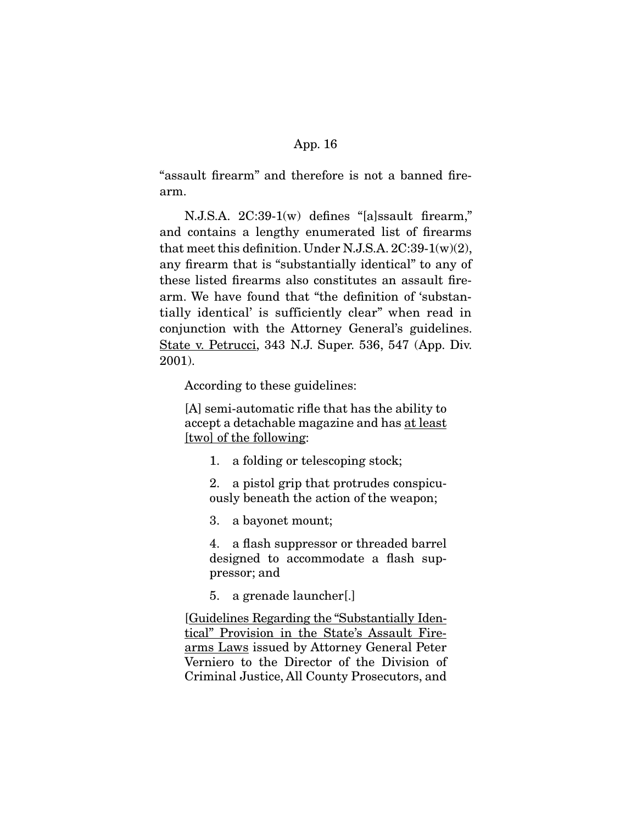"assault firearm" and therefore is not a banned firearm.

 N.J.S.A. 2C:39-1(w) defines "[a]ssault firearm," and contains a lengthy enumerated list of firearms that meet this definition. Under N.J.S.A.  $2C:39-1(w)(2)$ , any firearm that is "substantially identical" to any of these listed firearms also constitutes an assault firearm. We have found that "the definition of 'substantially identical' is sufficiently clear" when read in conjunction with the Attorney General's guidelines. State v. Petrucci, 343 N.J. Super. 536, 547 (App. Div. 2001).

According to these guidelines:

[A] semi-automatic rifle that has the ability to accept a detachable magazine and has at least [two] of the following:

1. a folding or telescoping stock;

2. a pistol grip that protrudes conspicuously beneath the action of the weapon;

3. a bayonet mount;

4. a flash suppressor or threaded barrel designed to accommodate a flash suppressor; and

5. a grenade launcher[.]

[Guidelines Regarding the "Substantially Identical" Provision in the State's Assault Firearms Laws issued by Attorney General Peter Verniero to the Director of the Division of Criminal Justice, All County Prosecutors, and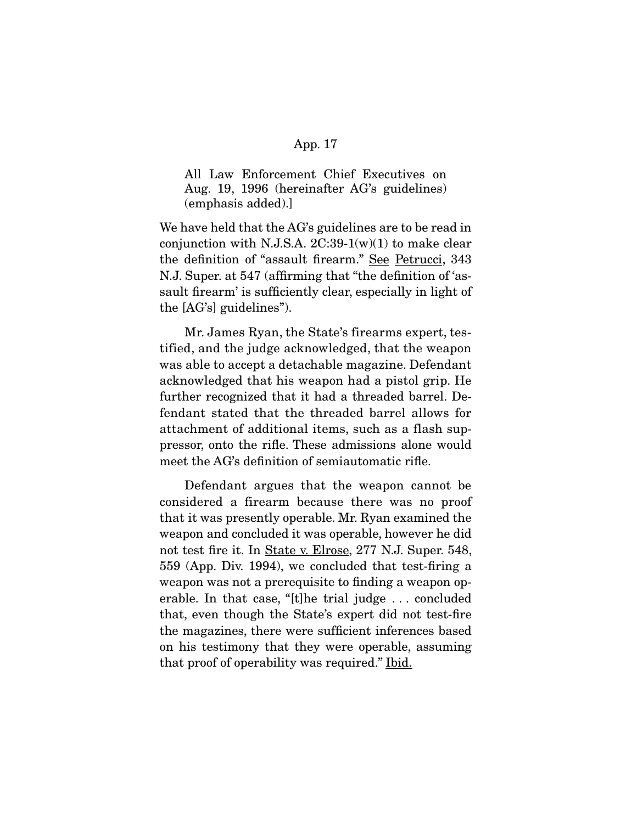All Law Enforcement Chief Executives on Aug. 19, 1996 (hereinafter AG's guidelines) (emphasis added).]

We have held that the AG's guidelines are to be read in conjunction with N.J.S.A.  $2C:39-1(w)(1)$  to make clear the definition of "assault firearm." See Petrucci, 343 N.J. Super. at 547 (affirming that "the definition of 'assault firearm' is sufficiently clear, especially in light of the [AG's] guidelines").

 Mr. James Ryan, the State's firearms expert, testified, and the judge acknowledged, that the weapon was able to accept a detachable magazine. Defendant acknowledged that his weapon had a pistol grip. He further recognized that it had a threaded barrel. Defendant stated that the threaded barrel allows for attachment of additional items, such as a flash suppressor, onto the rifle. These admissions alone would meet the AG's definition of semiautomatic rifle.

 Defendant argues that the weapon cannot be considered a firearm because there was no proof that it was presently operable. Mr. Ryan examined the weapon and concluded it was operable, however he did not test fire it. In State v. Elrose, 277 N.J. Super. 548, 559 (App. Div. 1994), we concluded that test-firing a weapon was not a prerequisite to finding a weapon operable. In that case, "[t]he trial judge . . . concluded that, even though the State's expert did not test-fire the magazines, there were sufficient inferences based on his testimony that they were operable, assuming that proof of operability was required." Ibid.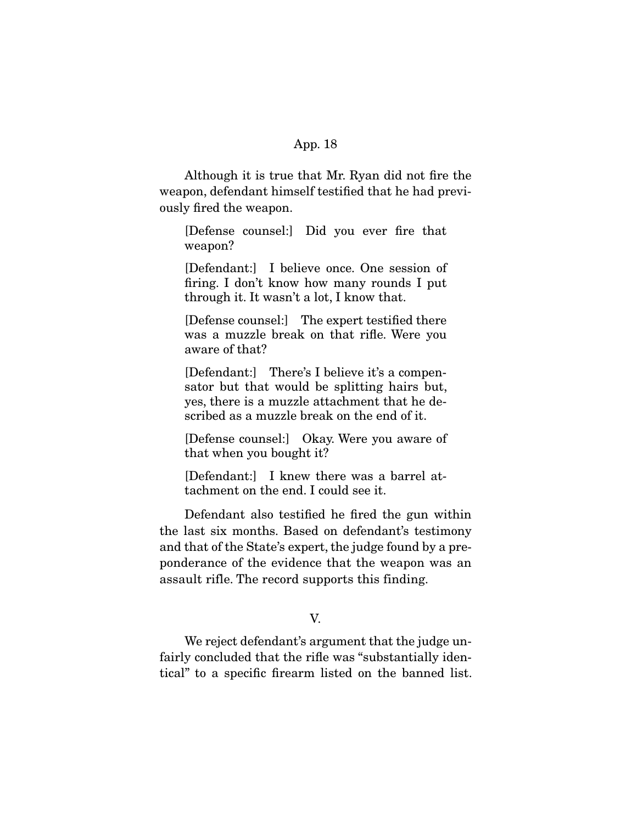Although it is true that Mr. Ryan did not fire the weapon, defendant himself testified that he had previously fired the weapon.

[Defense counsel:] Did you ever fire that weapon?

[Defendant:] I believe once. One session of firing. I don't know how many rounds I put through it. It wasn't a lot, I know that.

[Defense counsel:] The expert testified there was a muzzle break on that rifle. Were you aware of that?

[Defendant:] There's I believe it's a compensator but that would be splitting hairs but, yes, there is a muzzle attachment that he described as a muzzle break on the end of it.

[Defense counsel:] Okay. Were you aware of that when you bought it?

[Defendant:] I knew there was a barrel attachment on the end. I could see it.

 Defendant also testified he fired the gun within the last six months. Based on defendant's testimony and that of the State's expert, the judge found by a preponderance of the evidence that the weapon was an assault rifle. The record supports this finding.

V.

We reject defendant's argument that the judge unfairly concluded that the rifle was "substantially identical" to a specific firearm listed on the banned list.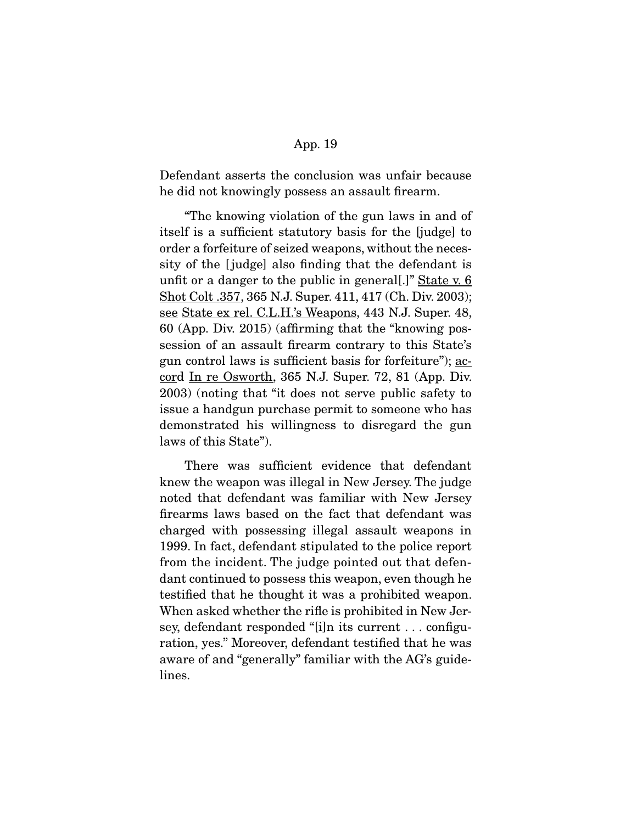Defendant asserts the conclusion was unfair because he did not knowingly possess an assault firearm.

 "The knowing violation of the gun laws in and of itself is a sufficient statutory basis for the [judge] to order a forfeiture of seized weapons, without the necessity of the [ judge] also finding that the defendant is unfit or a danger to the public in general.]" State v.  $6$ Shot Colt .357, 365 N.J. Super. 411, 417 (Ch. Div. 2003); see State ex rel. C.L.H.'s Weapons, 443 N.J. Super. 48, 60 (App. Div. 2015) (affirming that the "knowing possession of an assault firearm contrary to this State's gun control laws is sufficient basis for forfeiture"); accord In re Osworth, 365 N.J. Super. 72, 81 (App. Div. 2003) (noting that "it does not serve public safety to issue a handgun purchase permit to someone who has demonstrated his willingness to disregard the gun laws of this State").

 There was sufficient evidence that defendant knew the weapon was illegal in New Jersey. The judge noted that defendant was familiar with New Jersey firearms laws based on the fact that defendant was charged with possessing illegal assault weapons in 1999. In fact, defendant stipulated to the police report from the incident. The judge pointed out that defendant continued to possess this weapon, even though he testified that he thought it was a prohibited weapon. When asked whether the rifle is prohibited in New Jersey, defendant responded "[i]n its current . . . configuration, yes." Moreover, defendant testified that he was aware of and "generally" familiar with the AG's guidelines.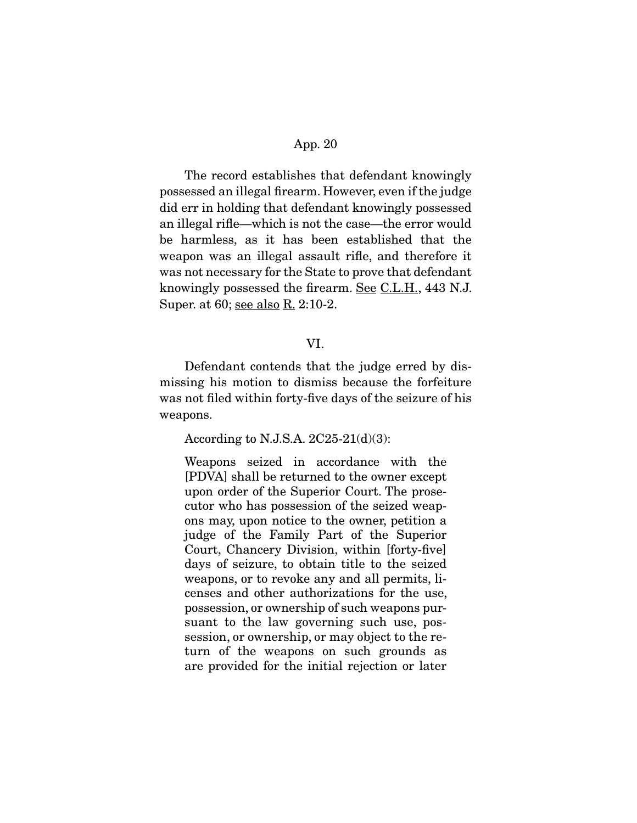The record establishes that defendant knowingly possessed an illegal firearm. However, even if the judge did err in holding that defendant knowingly possessed an illegal rifle—which is not the case—the error would be harmless, as it has been established that the weapon was an illegal assault rifle, and therefore it was not necessary for the State to prove that defendant knowingly possessed the firearm. See C.L.H., 443 N.J. Super. at 60; see also R. 2:10-2.

## VI.

 Defendant contends that the judge erred by dismissing his motion to dismiss because the forfeiture was not filed within forty-five days of the seizure of his weapons.

According to N.J.S.A. 2C25-21(d)(3):

Weapons seized in accordance with the [PDVA] shall be returned to the owner except upon order of the Superior Court. The prosecutor who has possession of the seized weapons may, upon notice to the owner, petition a judge of the Family Part of the Superior Court, Chancery Division, within [forty-five] days of seizure, to obtain title to the seized weapons, or to revoke any and all permits, licenses and other authorizations for the use, possession, or ownership of such weapons pursuant to the law governing such use, possession, or ownership, or may object to the return of the weapons on such grounds as are provided for the initial rejection or later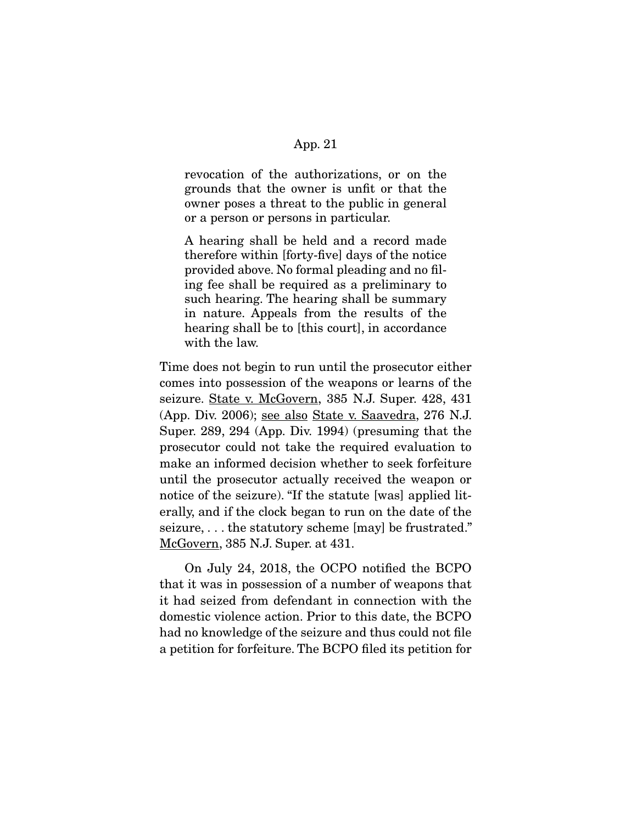revocation of the authorizations, or on the grounds that the owner is unfit or that the owner poses a threat to the public in general or a person or persons in particular.

A hearing shall be held and a record made therefore within [forty-five] days of the notice provided above. No formal pleading and no filing fee shall be required as a preliminary to such hearing. The hearing shall be summary in nature. Appeals from the results of the hearing shall be to [this court], in accordance with the law.

Time does not begin to run until the prosecutor either comes into possession of the weapons or learns of the seizure. <u>State v. McGovern</u>, 385 N.J. Super. 428, 431 (App. Div. 2006); see also State v. Saavedra, 276 N.J. Super. 289, 294 (App. Div. 1994) (presuming that the prosecutor could not take the required evaluation to make an informed decision whether to seek forfeiture until the prosecutor actually received the weapon or notice of the seizure). "If the statute [was] applied literally, and if the clock began to run on the date of the seizure, . . . the statutory scheme [may] be frustrated." McGovern, 385 N.J. Super. at 431.

 On July 24, 2018, the OCPO notified the BCPO that it was in possession of a number of weapons that it had seized from defendant in connection with the domestic violence action. Prior to this date, the BCPO had no knowledge of the seizure and thus could not file a petition for forfeiture. The BCPO filed its petition for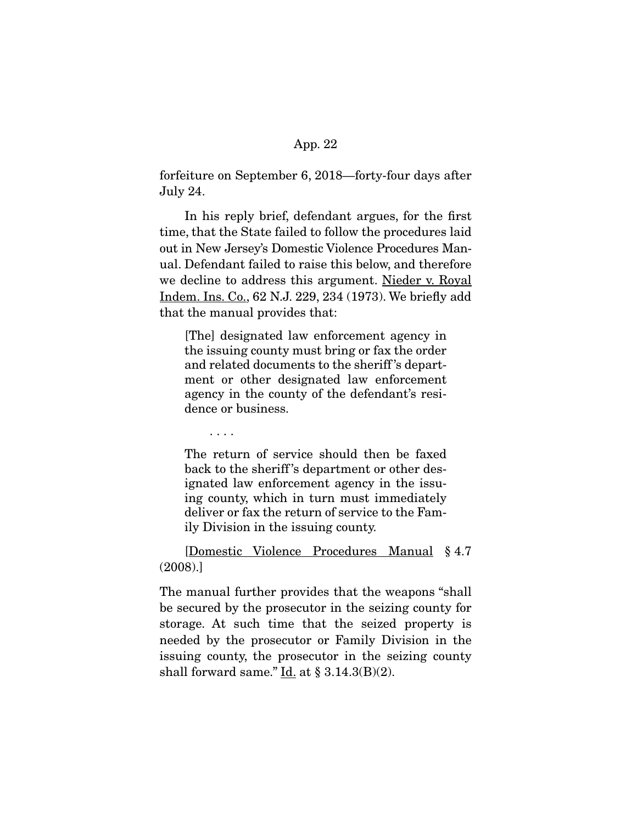forfeiture on September 6, 2018—forty-four days after July 24.

 In his reply brief, defendant argues, for the first time, that the State failed to follow the procedures laid out in New Jersey's Domestic Violence Procedures Manual. Defendant failed to raise this below, and therefore we decline to address this argument. Nieder v. Royal Indem. Ins. Co., 62 N.J. 229, 234 (1973). We briefly add that the manual provides that:

[The] designated law enforcement agency in the issuing county must bring or fax the order and related documents to the sheriff 's department or other designated law enforcement agency in the county of the defendant's residence or business.

. . . .

The return of service should then be faxed back to the sheriff 's department or other designated law enforcement agency in the issuing county, which in turn must immediately deliver or fax the return of service to the Family Division in the issuing county.

 [Domestic Violence Procedures Manual § 4.7 (2008).]

The manual further provides that the weapons "shall be secured by the prosecutor in the seizing county for storage. At such time that the seized property is needed by the prosecutor or Family Division in the issuing county, the prosecutor in the seizing county shall forward same." Id. at  $\S 3.14.3(B)(2)$ .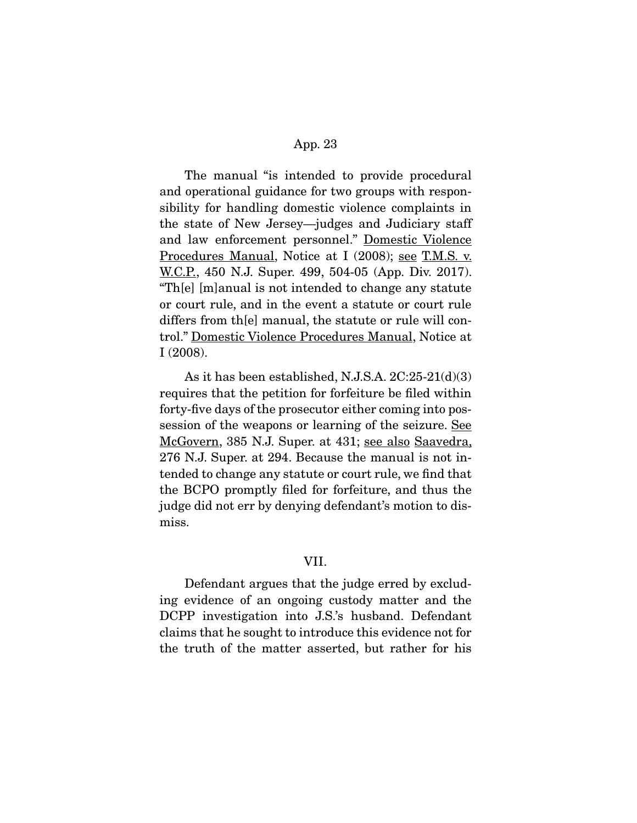The manual "is intended to provide procedural and operational guidance for two groups with responsibility for handling domestic violence complaints in the state of New Jersey—judges and Judiciary staff and law enforcement personnel." Domestic Violence Procedures Manual, Notice at I (2008); see T.M.S. v. W.C.P., 450 N.J. Super. 499, 504-05 (App. Div. 2017). "Th[e] [m]anual is not intended to change any statute or court rule, and in the event a statute or court rule differs from th[e] manual, the statute or rule will control." Domestic Violence Procedures Manual, Notice at I (2008).

 As it has been established, N.J.S.A. 2C:25-21(d)(3) requires that the petition for forfeiture be filed within forty-five days of the prosecutor either coming into possession of the weapons or learning of the seizure. See McGovern, 385 N.J. Super. at 431; see also Saavedra, 276 N.J. Super. at 294. Because the manual is not intended to change any statute or court rule, we find that the BCPO promptly filed for forfeiture, and thus the judge did not err by denying defendant's motion to dismiss.

#### VII.

 Defendant argues that the judge erred by excluding evidence of an ongoing custody matter and the DCPP investigation into J.S.'s husband. Defendant claims that he sought to introduce this evidence not for the truth of the matter asserted, but rather for his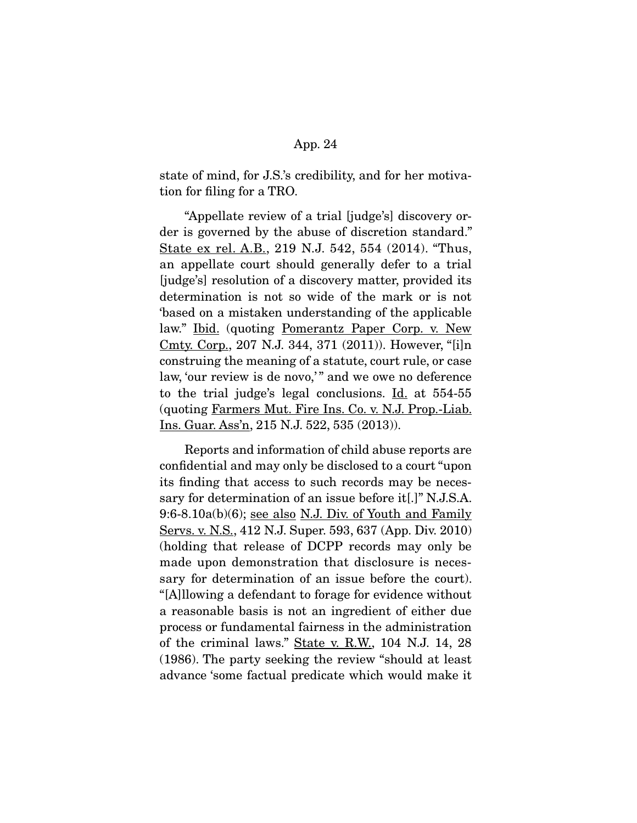state of mind, for J.S.'s credibility, and for her motivation for filing for a TRO.

 "Appellate review of a trial [judge's] discovery order is governed by the abuse of discretion standard." State ex rel. A.B., 219 N.J. 542, 554 (2014). "Thus, an appellate court should generally defer to a trial [judge's] resolution of a discovery matter, provided its determination is not so wide of the mark or is not 'based on a mistaken understanding of the applicable law." Ibid. (quoting Pomerantz Paper Corp. v. New Cmty. Corp., 207 N.J. 344, 371 (2011)). However, "[i]n construing the meaning of a statute, court rule, or case law, 'our review is de novo,'" and we owe no deference to the trial judge's legal conclusions.  $\underline{Id}$  at 554-55 (quoting Farmers Mut. Fire Ins. Co. v. N.J. Prop.-Liab. Ins. Guar. Ass'n, 215 N.J. 522, 535 (2013)).

 Reports and information of child abuse reports are confidential and may only be disclosed to a court "upon its finding that access to such records may be necessary for determination of an issue before it[.]" N.J.S.A. 9:6-8.10a(b)(6); see also N.J. Div. of Youth and Family Servs. v. N.S., 412 N.J. Super. 593, 637 (App. Div. 2010) (holding that release of DCPP records may only be made upon demonstration that disclosure is necessary for determination of an issue before the court). "[A]llowing a defendant to forage for evidence without a reasonable basis is not an ingredient of either due process or fundamental fairness in the administration of the criminal laws." State v. R.W., 104 N.J. 14, 28 (1986). The party seeking the review "should at least advance 'some factual predicate which would make it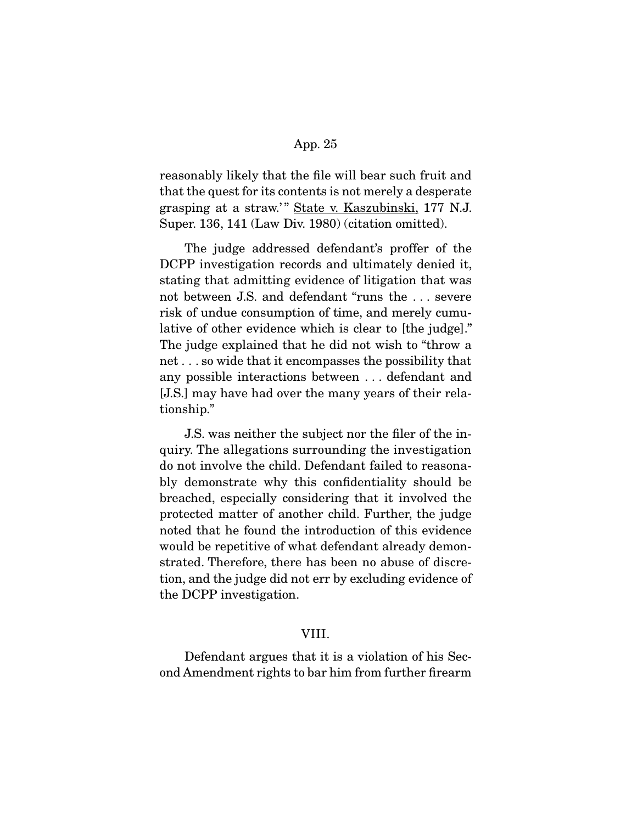reasonably likely that the file will bear such fruit and that the quest for its contents is not merely a desperate grasping at a straw.'" State v. Kaszubinski, 177 N.J. Super. 136, 141 (Law Div. 1980) (citation omitted).

 The judge addressed defendant's proffer of the DCPP investigation records and ultimately denied it, stating that admitting evidence of litigation that was not between J.S. and defendant "runs the . . . severe risk of undue consumption of time, and merely cumulative of other evidence which is clear to [the judge]." The judge explained that he did not wish to "throw a net . . . so wide that it encompasses the possibility that any possible interactions between . . . defendant and [J.S.] may have had over the many years of their relationship."

 J.S. was neither the subject nor the filer of the inquiry. The allegations surrounding the investigation do not involve the child. Defendant failed to reasonably demonstrate why this confidentiality should be breached, especially considering that it involved the protected matter of another child. Further, the judge noted that he found the introduction of this evidence would be repetitive of what defendant already demonstrated. Therefore, there has been no abuse of discretion, and the judge did not err by excluding evidence of the DCPP investigation.

## VIII.

 Defendant argues that it is a violation of his Second Amendment rights to bar him from further firearm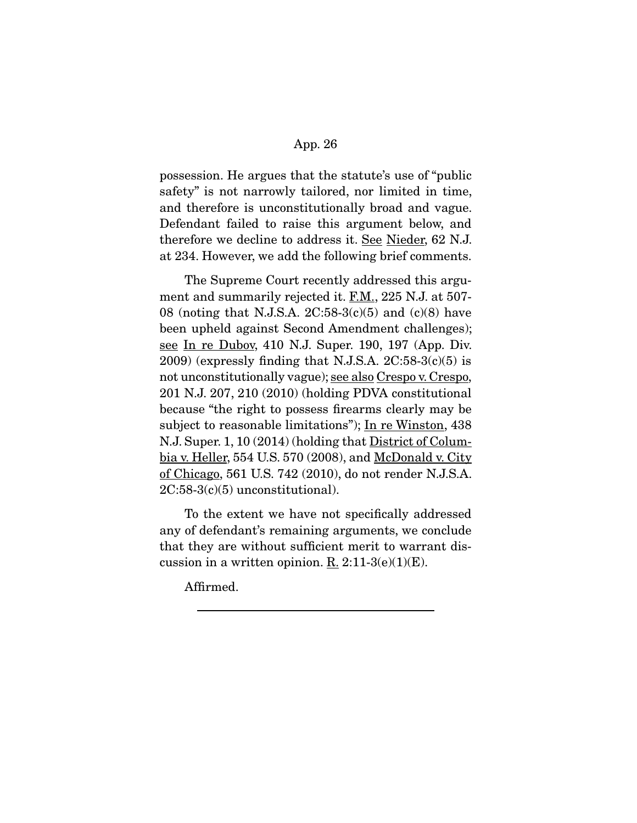possession. He argues that the statute's use of "public safety" is not narrowly tailored, nor limited in time, and therefore is unconstitutionally broad and vague. Defendant failed to raise this argument below, and therefore we decline to address it. See Nieder, 62 N.J. at 234. However, we add the following brief comments.

 The Supreme Court recently addressed this argument and summarily rejected it. F.M., 225 N.J. at 507-08 (noting that N.J.S.A. 2C:58-3(c)(5) and (c)(8) have been upheld against Second Amendment challenges); see In re Dubov, 410 N.J. Super. 190, 197 (App. Div.  $2009$ ) (expressly finding that N.J.S.A.  $2C:58-3(c)(5)$  is not unconstitutionally vague); see also Crespo v. Crespo, 201 N.J. 207, 210 (2010) (holding PDVA constitutional because "the right to possess firearms clearly may be subject to reasonable limitations"); In re Winston, 438 N.J. Super. 1, 10 (2014) (holding that **District of Colum**bia v. Heller, 554 U.S. 570 (2008), and McDonald v. City of Chicago, 561 U.S. 742 (2010), do not render N.J.S.A.  $2C:58-3(c)(5)$  unconstitutional).

 To the extent we have not specifically addressed any of defendant's remaining arguments, we conclude that they are without sufficient merit to warrant discussion in a written opinion.  $\underline{R}$ . 2:11-3(e)(1)(E).

Affirmed.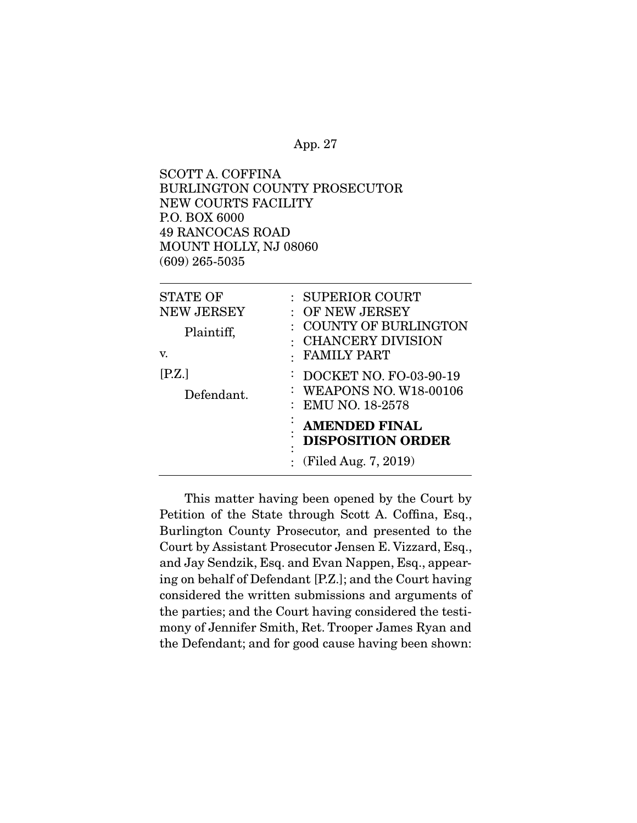SCOTT A. COFFINA BURLINGTON COUNTY PROSECUTOR NEW COURTS FACILITY P.O. BOX 6000 49 RANCOCAS ROAD MOUNT HOLLY, NJ 08060 (609) 265-5035

| <b>STATE OF</b><br><b>NEW JERSEY</b><br>Plaintiff,<br>V.<br>$[{\rm P.Z.}]$<br>Defendant. | : SUPERIOR COURT<br>$\colon \; \text{OF NEW JERSEY}$<br><b>COUNTY OF BURLINGTON</b><br>: CHANCERY DIVISION<br><b>FAMILY PART</b><br>: DOCKET NO. FO-03-90-19<br>: WEAPONS NO. W18-00106<br>: EMU NO. 18-2578 |
|------------------------------------------------------------------------------------------|--------------------------------------------------------------------------------------------------------------------------------------------------------------------------------------------------------------|
|                                                                                          | <b>AMENDED FINAL</b><br><b>DISPOSITION ORDER</b><br>٠<br>(Filed Aug. 7, 2019)                                                                                                                                |

 This matter having been opened by the Court by Petition of the State through Scott A. Coffina, Esq., Burlington County Prosecutor, and presented to the Court by Assistant Prosecutor Jensen E. Vizzard, Esq., and Jay Sendzik, Esq. and Evan Nappen, Esq., appearing on behalf of Defendant [P.Z.]; and the Court having considered the written submissions and arguments of the parties; and the Court having considered the testimony of Jennifer Smith, Ret. Trooper James Ryan and the Defendant; and for good cause having been shown: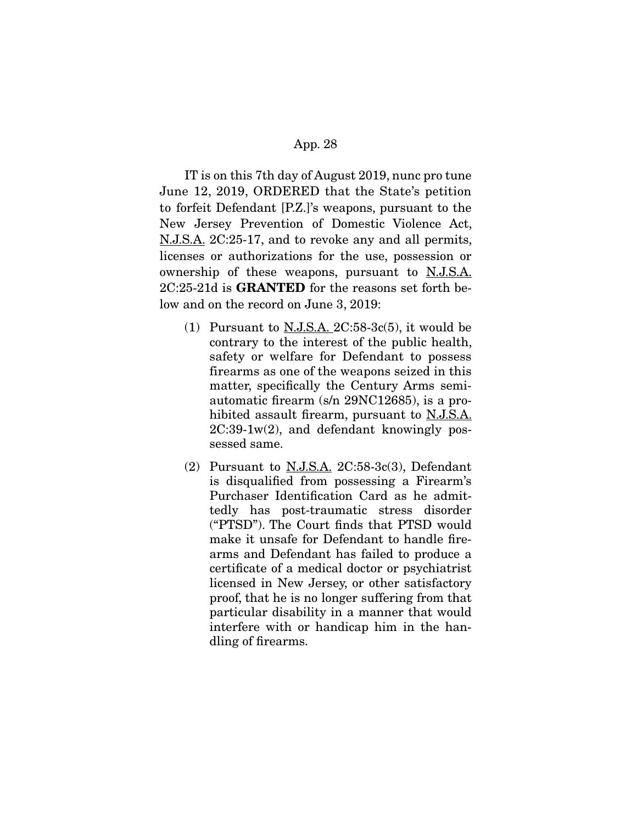IT is on this 7th day of August 2019, nunc pro tune June 12, 2019, ORDERED that the State's petition to forfeit Defendant [P.Z.]'s weapons, pursuant to the New Jersey Prevention of Domestic Violence Act, N.J.S.A. 2C:25-17, and to revoke any and all permits, licenses or authorizations for the use, possession or ownership of these weapons, pursuant to N.J.S.A. 2C:25-21d is **GRANTED** for the reasons set forth below and on the record on June 3, 2019:

- (1) Pursuant to  $N.J.S.A. 2C:58-3c(5)$ , it would be contrary to the interest of the public health, safety or welfare for Defendant to possess firearms as one of the weapons seized in this matter, specifically the Century Arms semiautomatic firearm (s/n 29NC12685), is a prohibited assault firearm, pursuant to N.J.S.A.  $2C:39-1w(2)$ , and defendant knowingly possessed same.
- (2) Pursuant to  $N.J.S.A.$   $2C:58-3c(3)$ , Defendant is disqualified from possessing a Firearm's Purchaser Identification Card as he admittedly has post-traumatic stress disorder ("PTSD"). The Court finds that PTSD would make it unsafe for Defendant to handle firearms and Defendant has failed to produce a certificate of a medical doctor or psychiatrist licensed in New Jersey, or other satisfactory proof, that he is no longer suffering from that particular disability in a manner that would interfere with or handicap him in the handling of firearms.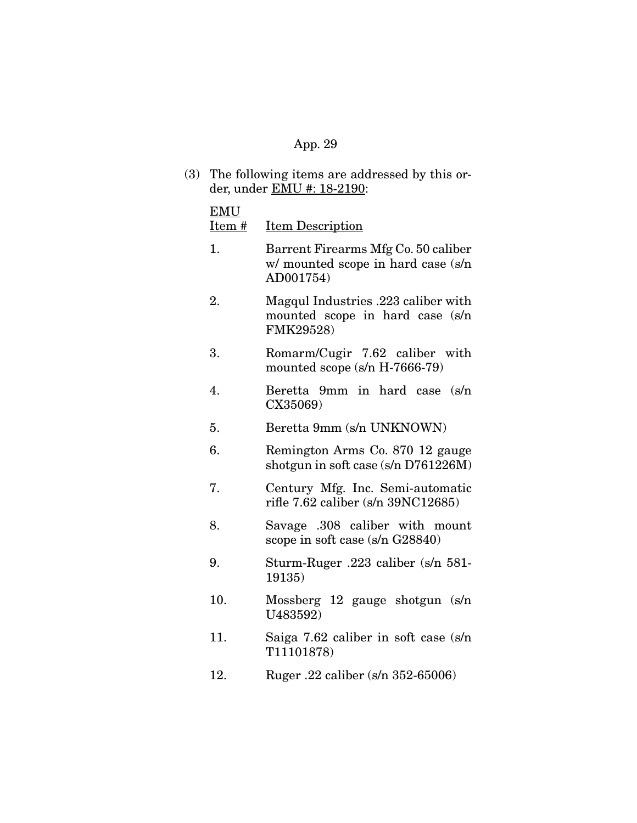(3) The following items are addressed by this order, under EMU #: 18-2190:

#### EMU

Item # Item Description

- 1. Barrent Firearms Mfg Co. 50 caliber w/ mounted scope in hard case (s/n AD001754)
- 2. Magqul Industries .223 caliber with mounted scope in hard case (s/n FMK29528)
- 3. Romarm/Cugir 7.62 caliber with mounted scope (s/n H-7666-79)
- 4. Beretta 9mm in hard case (s/n CX35069)
- 5. Beretta 9mm (s/n UNKNOWN)
- 6. Remington Arms Co. 870 12 gauge shotgun in soft case (s/n D761226M)
- 7. Century Mfg. Inc. Semi-automatic rifle 7.62 caliber (s/n 39NC12685)
- 8. Savage .308 caliber with mount scope in soft case (s/n G28840)
- 9. Sturm-Ruger .223 caliber (s/n 581- 19135)
- 10. Mossberg 12 gauge shotgun (s/n U483592)
- 11. Saiga 7.62 caliber in soft case (s/n T11101878)
- 12. Ruger .22 caliber (s/n 352-65006)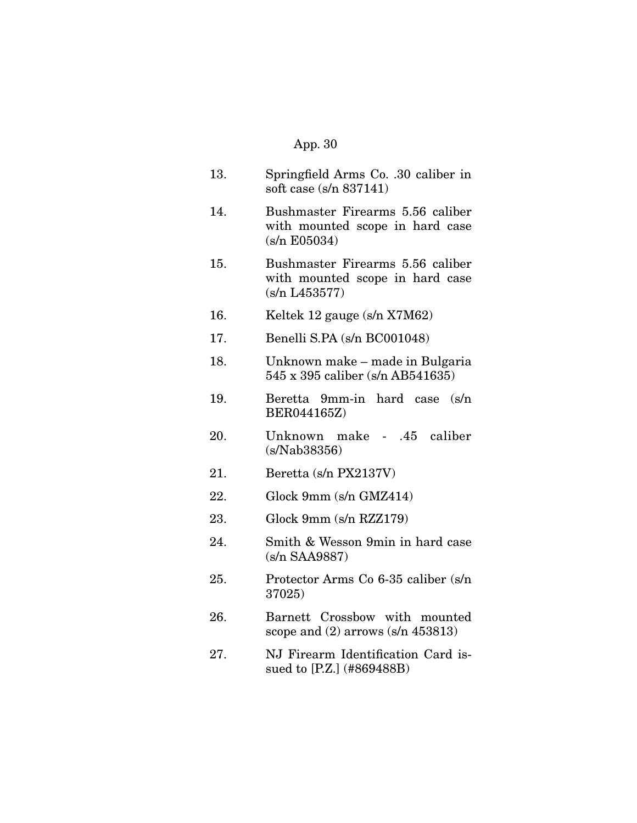- 13. Springfield Arms Co. .30 caliber in soft case (s/n 837141)
- 14. Bushmaster Firearms 5.56 caliber with mounted scope in hard case (s/n E05034)
- 15. Bushmaster Firearms 5.56 caliber with mounted scope in hard case (s/n L453577)
- 16. Keltek 12 gauge (s/n X7M62)
- 17. Benelli S.PA (s/n BC001048)
- 18. Unknown make made in Bulgaria 545 x 395 caliber (s/n AB541635)
- 19. Beretta 9mm-in hard case (s/n BER044165Z)
- 20. Unknown make .45 caliber (s/Nab38356)
- 21. Beretta (s/n PX2137V)
- 22. Glock 9mm (s/n GMZ414)
- 23. Glock 9mm (s/n RZZ179)
- 24. Smith & Wesson 9min in hard case (s/n SAA9887)
- 25. Protector Arms Co 6-35 caliber (s/n 37025)
- 26. Barnett Crossbow with mounted scope and (2) arrows (s/n 453813)
- 27. NJ Firearm Identification Card issued to [P.Z.] (#869488B)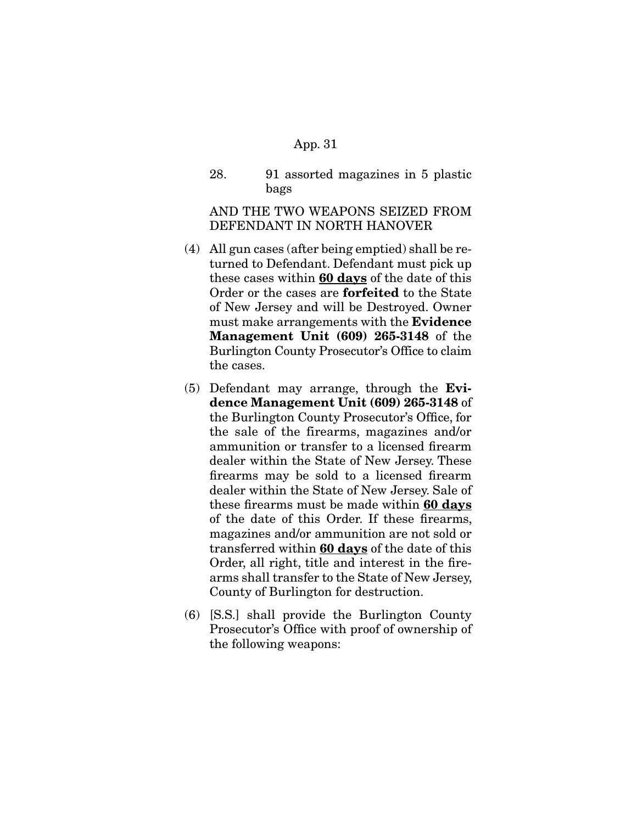28. 91 assorted magazines in 5 plastic bags

AND THE TWO WEAPONS SEIZED FROM DEFENDANT IN NORTH HANOVER

- (4) All gun cases (after being emptied) shall be returned to Defendant. Defendant must pick up these cases within **60 days** of the date of this Order or the cases are **forfeited** to the State of New Jersey and will be Destroyed. Owner must make arrangements with the **Evidence Management Unit (609) 265-3148** of the Burlington County Prosecutor's Office to claim the cases.
- (5) Defendant may arrange, through the **Evidence Management Unit (609) 265-3148** of the Burlington County Prosecutor's Office, for the sale of the firearms, magazines and/or ammunition or transfer to a licensed firearm dealer within the State of New Jersey. These firearms may be sold to a licensed firearm dealer within the State of New Jersey. Sale of these firearms must be made within **60 days** of the date of this Order. If these firearms, magazines and/or ammunition are not sold or transferred within **60 days** of the date of this Order, all right, title and interest in the firearms shall transfer to the State of New Jersey, County of Burlington for destruction.
- (6) [S.S.] shall provide the Burlington County Prosecutor's Office with proof of ownership of the following weapons: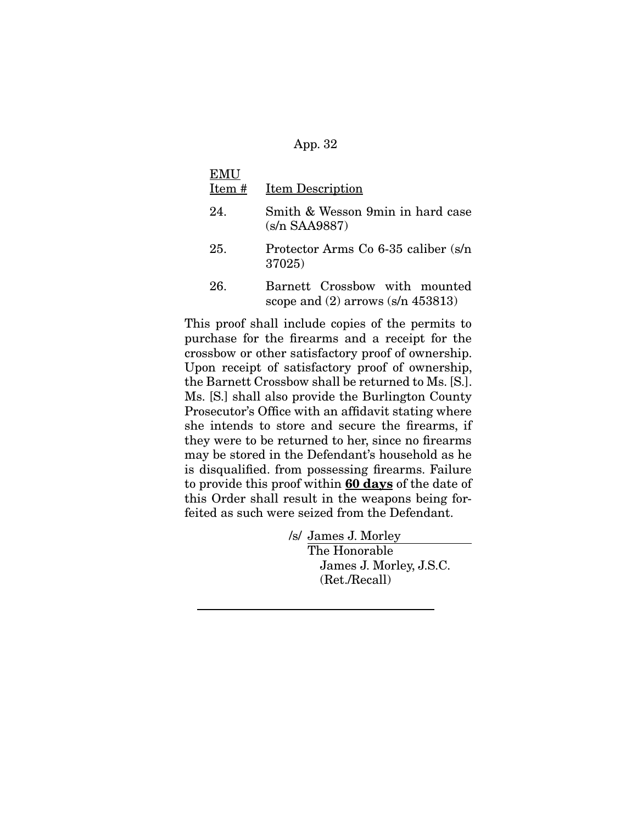| EMU   |                                                                        |
|-------|------------------------------------------------------------------------|
| Item# | <b>Item Description</b>                                                |
| 24.   | Smith & Wesson 9min in hard case<br>$(s/n$ SAA9887)                    |
| 25.   | Protector Arms Co 6-35 caliber (s/n)<br>37025)                         |
| 26.   | Barnett Crossbow with mounted<br>scope and $(2)$ arrows $(s/n 453813)$ |

This proof shall include copies of the permits to purchase for the firearms and a receipt for the crossbow or other satisfactory proof of ownership. Upon receipt of satisfactory proof of ownership, the Barnett Crossbow shall be returned to Ms. [S.]. Ms. [S.] shall also provide the Burlington County Prosecutor's Office with an affidavit stating where she intends to store and secure the firearms, if they were to be returned to her, since no firearms may be stored in the Defendant's household as he is disqualified. from possessing firearms. Failure to provide this proof within **60 days** of the date of this Order shall result in the weapons being forfeited as such were seized from the Defendant.

> /s/ James J. Morley The Honorable James J. Morley, J.S.C. (Ret./Recall)